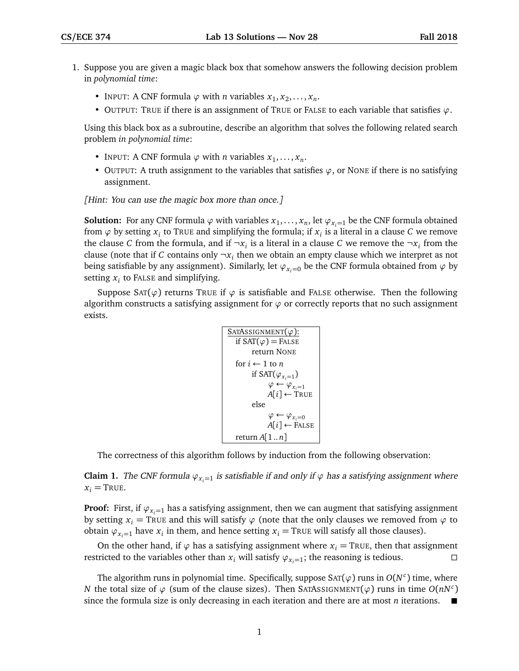- 1. Suppose you are given a magic black box that somehow answers the following decision problem in *polynomial time*:
	- INPUT: A CNF formula  $\varphi$  with *n* variables  $x_1, x_2, \ldots, x_n$ .
	- OUTPUT: TRUE if there is an assignment of TRUE or FALSE to each variable that satisfies *ϕ*.

Using this black box as a subroutine, describe an algorithm that solves the following related search problem *in polynomial time*:

- INPUT: A CNF formula  $\varphi$  with *n* variables  $x_1, \ldots, x_n$ .
- OUTPUT: A truth assignment to the variables that satisfies  $\varphi$ , or NONE if there is no satisfying assignment.

[Hint: You can use the magic box more than once.]

**Solution:** For any CNF formula  $\varphi$  with variables  $x_1, \ldots, x_n$ , let  $\varphi_{x_i=1}$  be the CNF formula obtained from  $\varphi$  by setting  $x_i$  to TRUE and simplifying the formula; if  $x_i$  is a literal in a clause  $C$  we remove the clause *C* from the formula, and if  $\neg x_i$  is a literal in a clause *C* we remove the  $\neg x_i$  from the clause (note that if *C* contains only  $\neg x_i$  then we obtain an empty clause which we interpret as not being satisfiable by any assignment). Similarly, let  $\varphi_{x_i=0}$  be the CNF formula obtained from  $\varphi$  by setting  $x_i$  to FALSE and simplifying.

Suppose SAT( $\varphi$ ) returns TRUE if  $\varphi$  is satisfiable and FALSE otherwise. Then the following algorithm constructs a satisfying assignment for  $\varphi$  or correctly reports that no such assignment exists.

```
SATASSIGNMENT(ϕ):
   if SAT(\varphi) = FALSEreturn NONE
  for i \leftarrow 1 to n
         if SAT(\varphi_{x_i=1})φ ← φ_{x_i=1}A[i] ← TRUE
         else
                φ ← φ<sub>x<sub>i</sub>=0</sub></sub>
               A[i] \leftarrow FALSE
   return A[1 .. n]
```
The correctness of this algorithm follows by induction from the following observation:

**Claim 1.** The CNF formula  $\varphi_{x_i=1}$  is satisfiable if and only if  $\varphi$  has a satisfying assignment where  $x_i$  = TRUE.

**Proof:** First, if  $\varphi_{x_i=1}$  has a satisfying assignment, then we can augment that satisfying assignment by setting  $x_i$  = TRUE and this will satisfy  $\varphi$  (note that the only clauses we removed from  $\varphi$  to obtain  $\varphi_{x_i=1}$  have  $x_i$  in them, and hence setting  $x_i$  = TRUE will satisfy all those clauses).

On the other hand, if  $\varphi$  has a satisfying assignment where  $x_i$  = TRUE, then that assignment restricted to the variables other than  $x_i$  will satisfy  $\varphi_{x_i=1}$ ; the reasoning is tedious.

The algorithm runs in polynomial time. Specifically, suppose  $\text{SAT}(\varphi)$  runs in  $O(N^c)$  time, where *N* the total size of  $\varphi$  (sum of the clause sizes). Then SATASSIGNMENT $(\varphi)$  runs in time  $O(nN^c)$ since the formula size is only decreasing in each iteration and there are at most *n* iterations.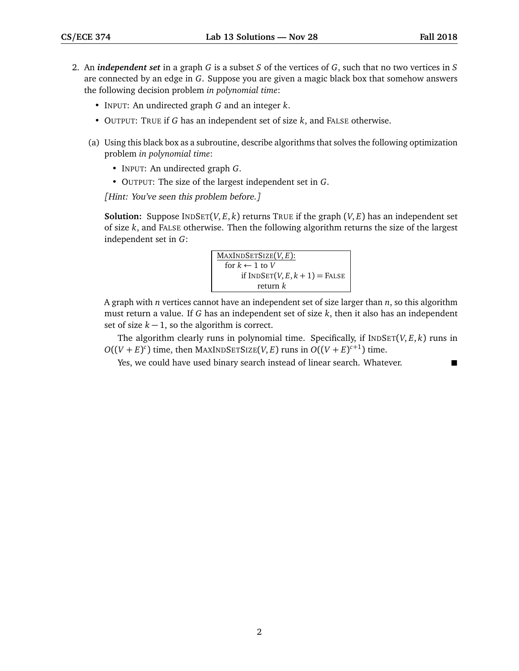- 2. An *independent set* in a graph *G* is a subset *S* of the vertices of *G*, such that no two vertices in *S* are connected by an edge in *G*. Suppose you are given a magic black box that somehow answers the following decision problem *in polynomial time*:
	- INPUT: An undirected graph *G* and an integer *k*.
	- OUTPUT: TRUE if *G* has an independent set of size *k*, and FALSE otherwise.
	- (a) Using this black box as a subroutine, describe algorithms that solves the following optimization problem *in polynomial time*:
		- INPUT: An undirected graph *G*.
		- OUTPUT: The size of the largest independent set in *G*.

[Hint: You've seen this problem before.]

**Solution:** Suppose  $\text{INDSET}(V, E, k)$  returns TRUE if the graph  $(V, E)$  has an independent set of size *k*, and FALSE otherwise. Then the following algorithm returns the size of the largest independent set in *G*:

$$
\boxed{\frac{\text{MAXINDSETSize}(V, E):}{\text{for } k \leftarrow 1 \text{ to } V \text{ if } \text{INDSET}(V, E, k + 1) = \text{FALSE} \atop \text{return } k}}
$$

A graph with *n* vertices cannot have an independent set of size larger than *n*, so this algorithm must return a value. If *G* has an independent set of size *k*, then it also has an independent set of size  $k - 1$ , so the algorithm is correct.

The algorithm clearly runs in polynomial time. Specifically, if  $INDEF(V, E, k)$  runs in  $O((V + E)^c)$  time, then MAXINDSETSIZE(*V*, *E*) runs in  $O((V + E)^{c+1})$  time.

Yes, we could have used binary search instead of linear search. Whatever.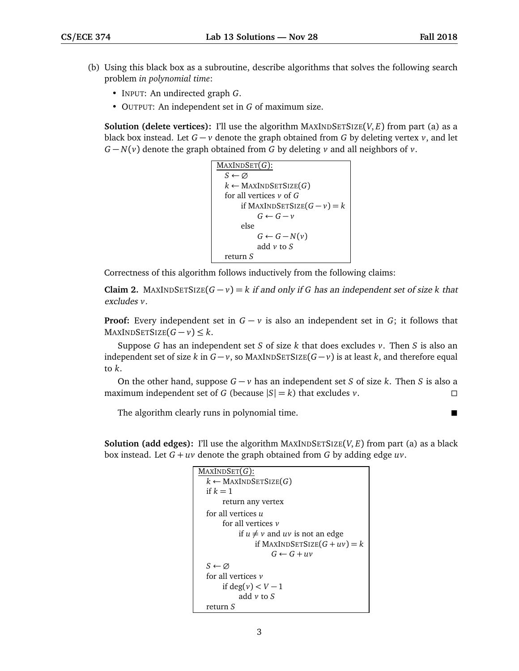- (b) Using this black box as a subroutine, describe algorithms that solves the following search problem *in polynomial time*:
	- INPUT: An undirected graph *G*.
	- OUTPUT: An independent set in *G* of maximum size.

**Solution (delete vertices):** I'll use the algorithm MAXINDSETSIZE( $V, E$ ) from part (a) as a black box instead. Let *G* − *v* denote the graph obtained from *G* by deleting vertex *v*, and let *G* − *N*(*v*) denote the graph obtained from *G* by deleting *v* and all neighbors of *v*.

```
MAXINDSET(G):
  S ← ∅
  k ← MAXINDSETSIZE(G)
  for all vertices v of G
      if MAXINDSETSIZE(G − v) = k
           G \leftarrow G - velse
           G ← G − N(v)add v to S
  return S
```
Correctness of this algorithm follows inductively from the following claims:

**Claim 2.** MAXINDSETSIZE $(G - v) = k$  if and only if G has an independent set of size k that excludes *v*.

**Proof:** Every independent set in  $G - v$  is also an independent set in  $G$ ; it follows that  $MAXINDSETSIZE(G - v) \leq k$ .

Suppose *G* has an independent set *S* of size *k* that does excludes *v*. Then *S* is also an independent set of size *k* in  $G - v$ , so MAXINDSETSIZE( $G - v$ ) is at least *k*, and therefore equal to *k*.

On the other hand, suppose *G* − *v* has an independent set *S* of size *k*. Then *S* is also a maximum independent set of *G* (because  $|S| = k$ ) that excludes *v*.

The algorithm clearly runs in polynomial time.

**Solution (add edges):** I'll use the algorithm MAXINDSETSIZE(*V*, *E*) from part (a) as a black box instead. Let *G* + *uv* denote the graph obtained from *G* by adding edge *uv*.

```
MAXINDSET(G):
  k \leftarrow MAXINDSETSIZE(G)
  if k = 1return any vertex
  for all vertices u
       for all vertices v
            if u \neq v and uv is not an edge
                if MAXINDSETSIZE(G + uv) = kG \leftarrow G + uvS ← ∅
  for all vertices v
       if deg(v) < V - 1add v to S
  return S
```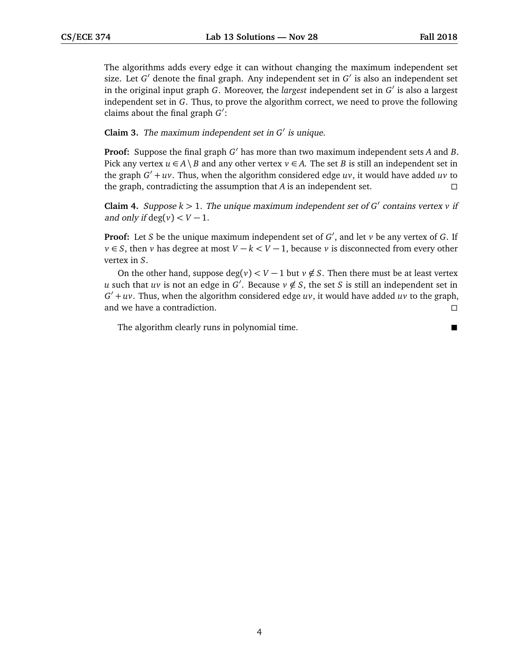The algorithms adds every edge it can without changing the maximum independent set size. Let  $G'$  denote the final graph. Any independent set in  $G'$  is also an independent set in the original input graph *G*. Moreover, the *largest* independent set in  $G'$  is also a largest independent set in *G*. Thus, to prove the algorithm correct, we need to prove the following claims about the final graph *G*<sup>'</sup>:

## **Claim 3.** The maximum independent set in  $G'$  is unique.

Proof: Suppose the final graph *G*<sup>'</sup> has more than two maximum independent sets *A* and *B*. Pick any vertex  $u \in A \setminus B$  and any other vertex  $v \in A$ . The set *B* is still an independent set in the graph  $G' + uv$ . Thus, when the algorithm considered edge  $uv$ , it would have added  $uv$  to the graph, contradicting the assumption that *A* is an independent set.  $\square$ 

**Claim 4.** Suppose  $k > 1$ . The unique maximum independent set of  $G'$  contains vertex  $v$  if and only if  $\deg(v) < V - 1$ .

**Proof:** Let *S* be the unique maximum independent set of *G'*, and let *v* be any vertex of *G*. If *v* ∈ *S*, then *v* has degree at most *V* − *k* < *V* − 1, because *v* is disconnected from every other vertex in *S*.

On the other hand, suppose  $\deg(v) < V - 1$  but  $v \notin S$ . Then there must be at least vertex *u* such that *uv* is not an edge in *G*<sup>'</sup>. Because  $v \notin S$ , the set *S* is still an independent set in  $G' + uv$ . Thus, when the algorithm considered edge  $uv$ , it would have added  $uv$  to the graph, and we have a contradiction.

The algorithm clearly runs in polynomial time.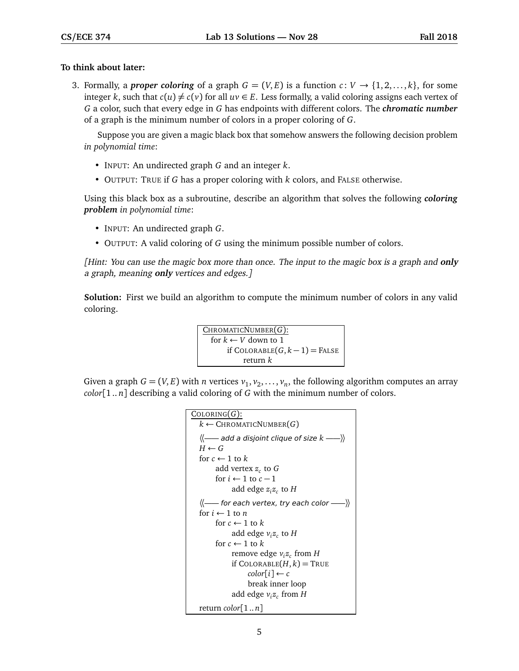## **To think about later:**

3. Formally, a *proper coloring* of a graph  $G = (V, E)$  is a function  $c: V \rightarrow \{1, 2, ..., k\}$ , for some integer *k*, such that  $c(u) \neq c(v)$  for all  $uv \in E$ . Less formally, a valid coloring assigns each vertex of *G* a color, such that every edge in *G* has endpoints with different colors. The *chromatic number* of a graph is the minimum number of colors in a proper coloring of *G*.

Suppose you are given a magic black box that somehow answers the following decision problem *in polynomial time*:

- INPUT: An undirected graph *G* and an integer *k*.
- OUTPUT: TRUE if *G* has a proper coloring with *k* colors, and FALSE otherwise.

Using this black box as a subroutine, describe an algorithm that solves the following *coloring problem in polynomial time*:

- INPUT: An undirected graph *G*.
- OUTPUT: A valid coloring of *G* using the minimum possible number of colors.

[Hint: You can use the magic box more than once. The input to the magic box is a graph and **only** a graph, meaning **only** vertices and edges.]

**Solution:** First we build an algorithm to compute the minimum number of colors in any valid coloring.

```
CHROMATICNUMBER(G):
  for k \leftarrow V down to 1
      if COLORABLE(G, k − 1) = FALSE
           return k
```
Given a graph  $G = (V, E)$  with *n* vertices  $v_1, v_2, \ldots, v_n$ , the following algorithm computes an array *color*[1 .. *n*] describing a valid coloring of *G* with the minimum number of colors.

```
COLORING(G):
  k \leftarrow CHROMATICNUMBER(G)〈〈—— add a disjoint clique of size k ——〉〉
  H \leftarrow Gfor c \leftarrow 1 to kadd vertex zc
to G
        for i \leftarrow 1 to c - 1add edge zi
zc
to H
  \langle \langle \text{---} for each vertex, try each color \text{---} \rangle \ranglefor i \leftarrow 1 to n
        for c \leftarrow 1 to kadd edge vi
zc
to H
        for c \leftarrow 1 to kremove edge vi
zc
from H
              if COLORABLE(H, k) = TRUEcolor[i] \leftarrow cbreak inner loop
              add edge vi
zc
from H
  return color[1 .. n]
```